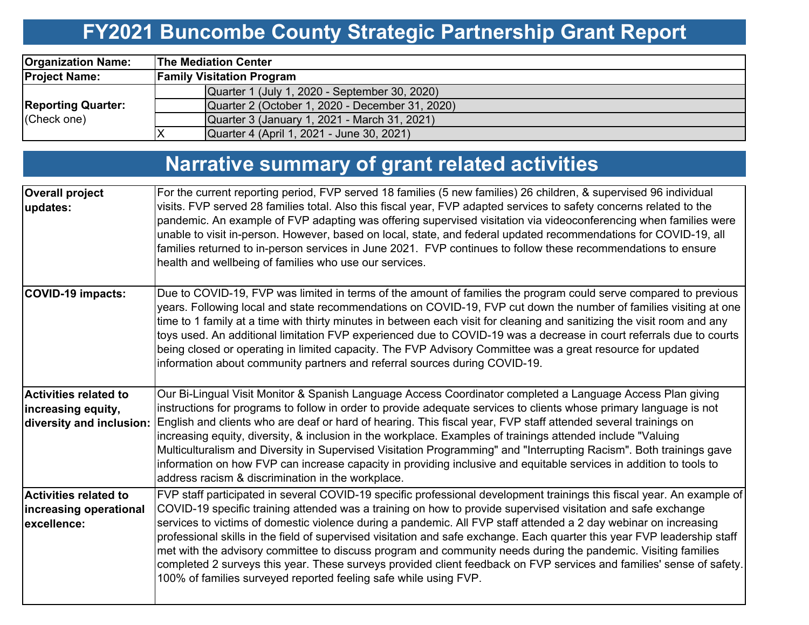# **FY2021 Buncombe County Strategic Partnership Grant Report**

| <b>Organization Name:</b>                | <b>The Mediation Center</b>                     |  |  |  |  |  |  |
|------------------------------------------|-------------------------------------------------|--|--|--|--|--|--|
| <b>Project Name:</b>                     | <b>Family Visitation Program</b>                |  |  |  |  |  |  |
|                                          | Quarter 1 (July 1, 2020 - September 30, 2020)   |  |  |  |  |  |  |
| <b>Reporting Quarter:</b><br>(Check one) | Quarter 2 (October 1, 2020 - December 31, 2020) |  |  |  |  |  |  |
|                                          | Quarter 3 (January 1, 2021 - March 31, 2021)    |  |  |  |  |  |  |
|                                          | Quarter 4 (April 1, 2021 - June 30, 2021)       |  |  |  |  |  |  |

# **Narrative summary of grant related activities**

| <b>Overall project</b><br>updates:                                             | For the current reporting period, FVP served 18 families (5 new families) 26 children, & supervised 96 individual<br>visits. FVP served 28 families total. Also this fiscal year, FVP adapted services to safety concerns related to the<br>pandemic. An example of FVP adapting was offering supervised visitation via videoconferencing when families were<br>unable to visit in-person. However, based on local, state, and federal updated recommendations for COVID-19, all<br>families returned to in-person services in June 2021. FVP continues to follow these recommendations to ensure<br>health and wellbeing of families who use our services.                                                                                                                                         |
|--------------------------------------------------------------------------------|-----------------------------------------------------------------------------------------------------------------------------------------------------------------------------------------------------------------------------------------------------------------------------------------------------------------------------------------------------------------------------------------------------------------------------------------------------------------------------------------------------------------------------------------------------------------------------------------------------------------------------------------------------------------------------------------------------------------------------------------------------------------------------------------------------|
| <b>COVID-19 impacts:</b>                                                       | Due to COVID-19, FVP was limited in terms of the amount of families the program could serve compared to previous<br>years. Following local and state recommendations on COVID-19, FVP cut down the number of families visiting at one<br>time to 1 family at a time with thirty minutes in between each visit for cleaning and sanitizing the visit room and any<br>toys used. An additional limitation FVP experienced due to COVID-19 was a decrease in court referrals due to courts<br>being closed or operating in limited capacity. The FVP Advisory Committee was a great resource for updated<br>information about community partners and referral sources during COVID-19.                                                                                                                 |
| <b>Activities related to</b><br>increasing equity,<br>diversity and inclusion: | Our Bi-Lingual Visit Monitor & Spanish Language Access Coordinator completed a Language Access Plan giving<br>instructions for programs to follow in order to provide adequate services to clients whose primary language is not<br>English and clients who are deaf or hard of hearing. This fiscal year, FVP staff attended several trainings on<br>increasing equity, diversity, & inclusion in the workplace. Examples of trainings attended include "Valuing"<br>Multiculturalism and Diversity in Supervised Visitation Programming" and "Interrupting Racism". Both trainings gave<br>information on how FVP can increase capacity in providing inclusive and equitable services in addition to tools to<br>address racism & discrimination in the workplace.                                |
| <b>Activities related to</b><br>increasing operational<br>excellence:          | FVP staff participated in several COVID-19 specific professional development trainings this fiscal year. An example of<br>COVID-19 specific training attended was a training on how to provide supervised visitation and safe exchange<br>services to victims of domestic violence during a pandemic. All FVP staff attended a 2 day webinar on increasing<br>professional skills in the field of supervised visitation and safe exchange. Each quarter this year FVP leadership staff<br>met with the advisory committee to discuss program and community needs during the pandemic. Visiting families<br>completed 2 surveys this year. These surveys provided client feedback on FVP services and families' sense of safety.<br>100% of families surveyed reported feeling safe while using FVP. |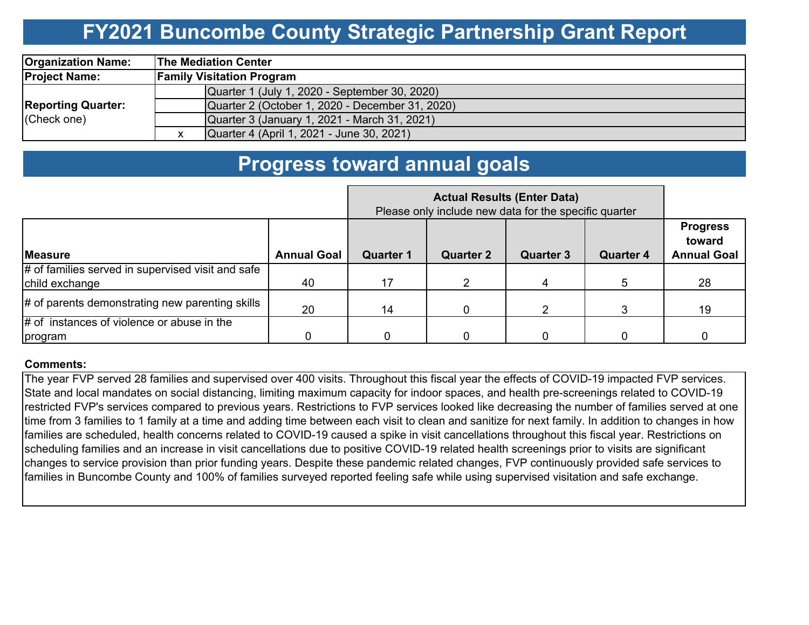## **FY2021 Buncombe County Strategic Partnership Grant Report**

| <b>Organization Name:</b>                | <b>The Mediation Center</b>                     |  |  |  |  |  |  |
|------------------------------------------|-------------------------------------------------|--|--|--|--|--|--|
| <b>Project Name:</b>                     | <b>Family Visitation Program</b>                |  |  |  |  |  |  |
| <b>Reporting Quarter:</b><br>(Check one) | Quarter 1 (July 1, 2020 - September 30, 2020)   |  |  |  |  |  |  |
|                                          | Quarter 2 (October 1, 2020 - December 31, 2020) |  |  |  |  |  |  |
|                                          | Quarter 3 (January 1, 2021 - March 31, 2021)    |  |  |  |  |  |  |
|                                          | Quarter 4 (April 1, 2021 - June 30, 2021)       |  |  |  |  |  |  |

### **Progress toward annual goals**

|                                                   | Please only include new data for the specific quarter |                  |                  |                  |                  |                                                 |
|---------------------------------------------------|-------------------------------------------------------|------------------|------------------|------------------|------------------|-------------------------------------------------|
| <b>Measure</b>                                    | <b>Annual Goal</b>                                    | <b>Quarter 1</b> | <b>Quarter 2</b> | <b>Quarter 3</b> | <b>Quarter 4</b> | <b>Progress</b><br>toward<br><b>Annual Goal</b> |
| # of families served in supervised visit and safe |                                                       |                  |                  |                  |                  |                                                 |
| child exchange                                    | 40                                                    | 17               |                  | 4                |                  | 28                                              |
| # of parents demonstrating new parenting skills   | 20                                                    | 14               |                  |                  | 3                | 19                                              |
| $#$ of instances of violence or abuse in the      |                                                       |                  |                  |                  |                  |                                                 |
| program                                           |                                                       |                  |                  |                  |                  |                                                 |

#### **Comments:**

The year FVP served 28 families and supervised over 400 visits. Throughout this fiscal year the effects of COVID-19 impacted FVP services. State and local mandates on social distancing, limiting maximum capacity for indoor spaces, and health pre-screenings related to COVID-19 restricted FVP's services compared to previous years. Restrictions to FVP services looked like decreasing the number of families served at one time from 3 families to 1 family at a time and adding time between each visit to clean and sanitize for next family. In addition to changes in how families are scheduled, health concerns related to COVID-19 caused a spike in visit cancellations throughout this fiscal year. Restrictions on scheduling families and an increase in visit cancellations due to positive COVID-19 related health screenings prior to visits are significant changes to service provision than prior funding years. Despite these pandemic related changes, FVP continuously provided safe services to families in Buncombe County and 100% of families surveyed reported feeling safe while using supervised visitation and safe exchange.